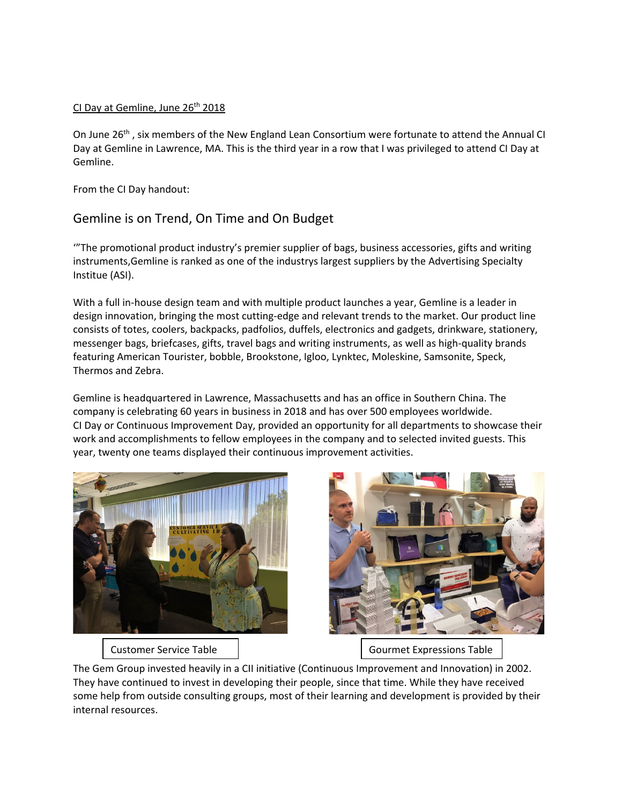## CI Day at Gemline, June 26<sup>th</sup> 2018

On June 26<sup>th</sup>, six members of the New England Lean Consortium were fortunate to attend the Annual CI Day at Gemline in Lawrence, MA. This is the third year in a row that I was privileged to attend CI Day at Gemline.

From the CI Day handout:

## Gemline is on Trend, On Time and On Budget

'"The promotional product industry's premier supplier of bags, business accessories, gifts and writing instruments,Gemline is ranked as one of the industrys largest suppliers by the Advertising Specialty Institue (ASI).

With a full in-house design team and with multiple product launches a year, Gemline is a leader in design innovation, bringing the most cutting-edge and relevant trends to the market. Our product line consists of totes, coolers, backpacks, padfolios, duffels, electronics and gadgets, drinkware, stationery, messenger bags, briefcases, gifts, travel bags and writing instruments, as well as high-quality brands featuring American Tourister, bobble, Brookstone, Igloo, Lynktec, Moleskine, Samsonite, Speck, Thermos and Zebra.

Gemline is headquartered in Lawrence, Massachusetts and has an office in Southern China. The company is celebrating 60 years in business in 2018 and has over 500 employees worldwide. CI Day or Continuous Improvement Day, provided an opportunity for all departments to showcase their work and accomplishments to fellow employees in the company and to selected invited guests. This year, twenty one teams displayed their continuous improvement activities.





Customer Service Table  $\vert$  Gourmet Expressions Table

The Gem Group invested heavily in a CII initiative (Continuous Improvement and Innovation) in 2002. They have continued to invest in developing their people, since that time. While they have received some help from outside consulting groups, most of their learning and development is provided by their internal resources.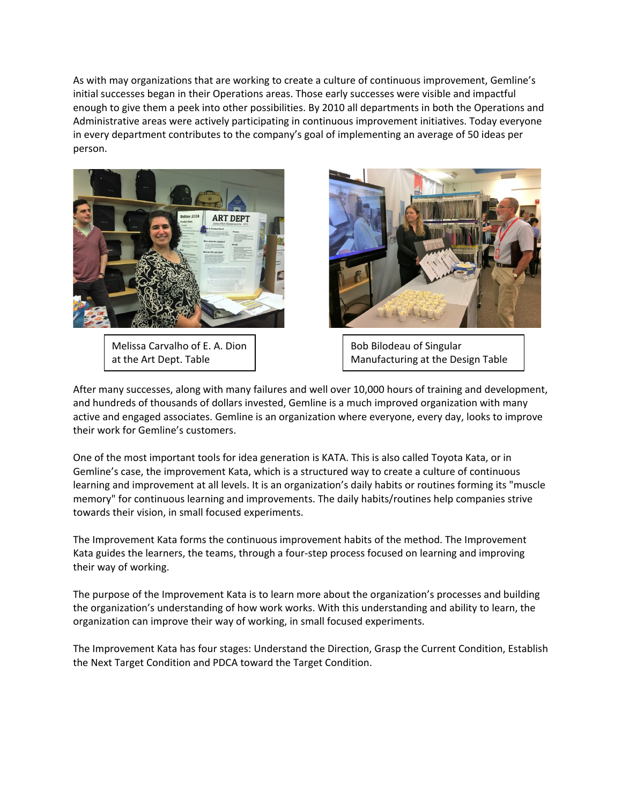As with may organizations that are working to create a culture of continuous improvement, Gemline's initial successes began in their Operations areas. Those early successes were visible and impactful enough to give them a peek into other possibilities. By 2010 all departments in both the Operations and Administrative areas were actively participating in continuous improvement initiatives. Today everyone in every department contributes to the company's goal of implementing an average of 50 ideas per person.



Melissa Carvalho of E. A. Dion at the Art Dept. Table



Bob Bilodeau of Singular Manufacturing at the Design Table

After many successes, along with many failures and well over 10,000 hours of training and development, and hundreds of thousands of dollars invested, Gemline is a much improved organization with many active and engaged associates. Gemline is an organization where everyone, every day, looks to improve their work for Gemline's customers.

One of the most important tools for idea generation is KATA. This is also called Toyota Kata, or in Gemline's case, the improvement Kata, which is a structured way to create a culture of continuous learning and improvement at all levels. It is an organization's daily habits or routines forming its "muscle memory" for continuous learning and improvements. The daily habits/routines help companies strive towards their vision, in small focused experiments.

The Improvement Kata forms the continuous improvement habits of the method. The Improvement Kata guides the learners, the teams, through a four-step process focused on learning and improving their way of working.

The purpose of the Improvement Kata is to learn more about the organization's processes and building the organization's understanding of how work works. With this understanding and ability to learn, the organization can improve their way of working, in small focused experiments.

The Improvement Kata has four stages: Understand the Direction, Grasp the Current Condition, Establish the Next Target Condition and PDCA toward the Target Condition.